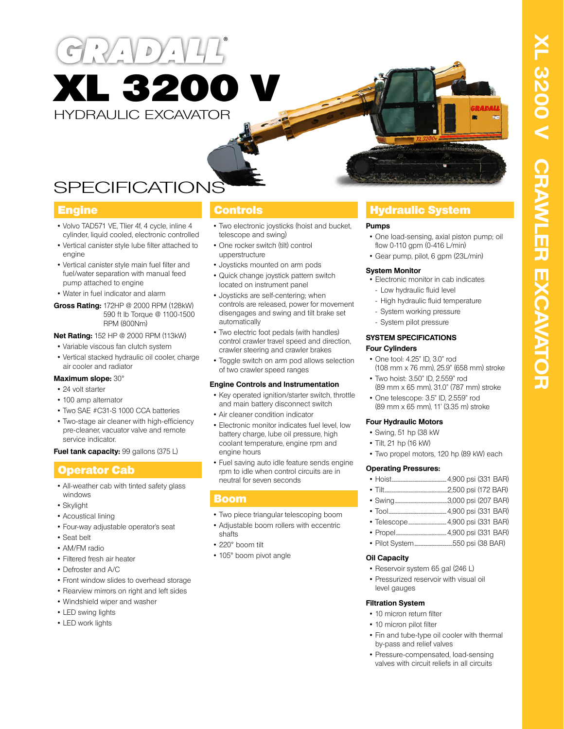# $\mathcal{D}$ XL 3200 V HYDRAULIC EXCAVATOR

## SPECIFICATIONS

- Volvo TAD571 VE, TIier 4f, 4 cycle, inline 4 cylinder, liquid cooled, electronic controlled
- Vertical canister style lube filter attached to engine
- Vertical canister style main fuel filter and fuel/water separation with manual feed pump attached to engine
- Water in fuel indicator and alarm
- **Gross Rating:** 172HP @ 2000 RPM (128kW) 590 ft lb Torque @ 1100-1500 RPM (800Nm)
- **Net Rating:** 152 HP @ 2000 RPM (113kW)
- Variable viscous fan clutch system
- Vertical stacked hydraulic oil cooler, charge air cooler and radiator

#### **Maximum slope:** 30°

- 24 volt starter
- 100 amp alternator
- Two SAE #C31-S 1000 CCA batteries
- Two-stage air cleaner with high-efficiency pre-cleaner, vacuator valve and remote service indicator.
- **Fuel tank capacity:** 99 gallons (375 L)

### Operator Cab

- All-weather cab with tinted safety glass windows
- Skylight
- Acoustical lining
- Four-way adjustable operator's seat
- Seat belt
- AM/FM radio
- Filtered fresh air heater
- Defroster and A/C
- Front window slides to overhead storage
- Rearview mirrors on right and left sides
- Windshield wiper and washer
- LED swing lights
- LED work lights

- Two electronic joysticks (hoist and bucket, telescope and swing)
- One rocker switch (tilt) control upperstructure
- Joysticks mounted on arm pods
- Quick change joystick pattern switch located on instrument panel
- Joysticks are self-centering; when controls are released, power for movement disengages and swing and tilt brake set automatically
- Two electric foot pedals (with handles) control crawler travel speed and direction, crawler steering and crawler brakes
- Toggle switch on arm pod allows selection of two crawler speed ranges

#### **Engine Controls and Instrumentation**

- Key operated ignition/starter switch, throttle and main battery disconnect switch
- Air cleaner condition indicator
- Electronic monitor indicates fuel level, low battery charge, lube oil pressure, high coolant temperature, engine rpm and engine hours
- Fuel saving auto idle feature sends engine rpm to idle when control circuits are in neutral for seven seconds

#### Boom

- Two piece triangular telescoping boom
- Adjustable boom rollers with eccentric
- shafts
- 220° boom tilt
- 105° boom pivot angle

### **Engine Controls Controls Hydraulic System**

#### **Pumps**

- One load-sensing, axial piston pump; oil flow 0-110 gpm (0-416 L/min)
- Gear pump, pilot, 6 gpm (23L/min)

#### **System Monitor**

- Electronic monitor in cab indicates
- Low hydraulic fluid level
	- High hydraulic fluid temperature
- System working pressure
- System pilot pressure

#### **SYSTEM SPECIFICATIONS Four Cylinders**

- One tool: 4.25" ID, 3.0" rod (108 mm x 76 mm), 25.9" (658 mm) stroke
- Two hoist: 3.50" ID, 2.559" rod (89 mm x 65 mm), 31.0" (787 mm) stroke
- One telescope: 3.5" ID, 2.559" rod (89 mm x 65 mm), 11' (3.35 m) stroke

#### **Four Hydraulic Motors**

- Swing, 51 hp (38 kW
- Tilt, 21 hp (16 kW)
- Two propel motors, 120 hp (89 kW) each

#### **Operating Pressures:**

| $\cdot$ Tilt |  |  |
|--------------|--|--|

- Swing...................................................3,000 psi (207 BAR)
- Tool........................................................4,900 psi (331 BAR)
- Telescope.....................................4,900 psi (331 BAR)
- Propel.................................................4,900 psi (331 BAR)
- Pilot System.....................................550 psi (38 BAR)

#### **Oil Capacity**

- Reservoir system 65 gal (246 L)
- Pressurized reservoir with visual oil level gauges

#### **Filtration System**

- 10 micron return filter
- 10 micron pilot filter
- Fin and tube-type oil cooler with thermal by-pass and relief valves
- Pressure-compensated, load-sensing valves with circuit reliefs in all circuits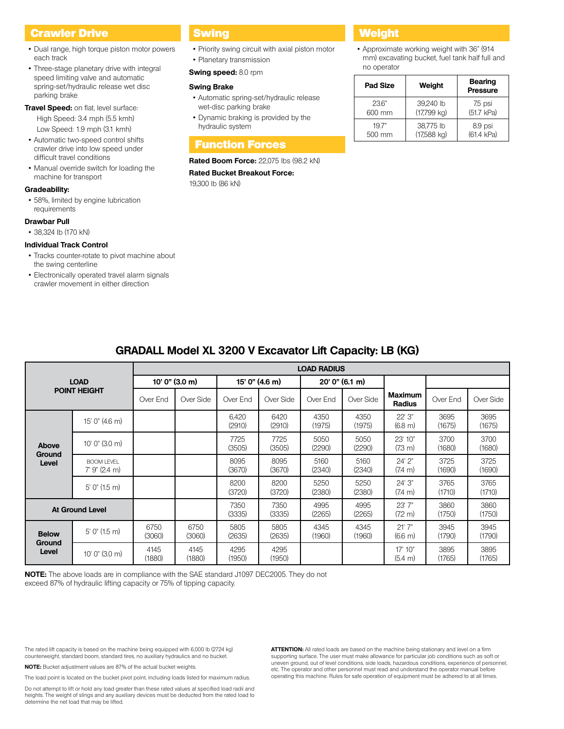#### **Crawler Drive Communist Swing Communist Communist Crawler Drive Communist Communist Communist Communist Communist Communist Communist Communist Communist Communist Communist Communist Communist Communist Communist Communi**

- Dual range, high torque piston motor powers each track
- Three-stage planetary drive with integral speed limiting valve and automatic spring-set/hydraulic release wet disc parking brake
- **Travel Speed:** on flat, level surface: High Speed: 3.4 mph (5.5 kmh) Low Speed: 1.9 mph (3.1 kmh)
- Automatic two-speed control shifts crawler drive into low speed under difficult travel conditions
- Manual override switch for loading the machine for transport

#### **Gradeability:**

• 58%, limited by engine lubrication requirements

#### **Drawbar Pull**

• 38,324 lb (170 kN)

#### **Individual Track Control**

- Tracks counter-rotate to pivot machine about the swing centerline
- Electronically operated travel alarm signals crawler movement in either direction

- Priority swing circuit with axial piston motor
- Planetary transmission
- **Swing speed:** 8.0 rpm

#### **Swing Brake**

- Automatic spring-set/hydraulic release wet-disc parking brake
- Dynamic braking is provided by the hydraulic system

#### Function Forces

#### **Rated Boom Force:** 22,075 lbs (98.2 kN)

**Rated Bucket Breakout Force:**  19,300 lb (86 kN)

• Approximate working weight with 36" (914 mm) excavating bucket, fuel tank half full and no operator

| <b>Pad Size</b> | Weight        | <b>Bearing</b><br><b>Pressure</b> |
|-----------------|---------------|-----------------------------------|
| 236"            | 39,240 lb     | 75 psi                            |
| 600 mm          | $(17,799$ kg) | (51.7 kPa)                        |
| 197"            | 38,775 lb     | 8.9 psi                           |
| 500 mm          | $(17,588$ kg) | (61.4 kPa)                        |

| <b>GRADALL Model XL 3200 V Excavator Lift Capacity: LB (KG)</b> |                                      |                |                    |                 |                |                 |                |                                   |                |                |
|-----------------------------------------------------------------|--------------------------------------|----------------|--------------------|-----------------|----------------|-----------------|----------------|-----------------------------------|----------------|----------------|
|                                                                 |                                      |                | <b>LOAD RADIUS</b> |                 |                |                 |                |                                   |                |                |
| <b>LOAD</b><br><b>POINT HEIGHT</b>                              |                                      | 10' 0" (3.0 m) |                    | 15' 0" (4.6 m)  |                | 20' 0'' (6.1 m) |                |                                   |                |                |
|                                                                 |                                      | Over End       | Over Side          | Over End        | Over Side      | Over End        | Over Side      | <b>Maximum</b><br><b>Radius</b>   | Over End       | Over Side      |
|                                                                 | 15' 0" (4.6 m)                       |                |                    | 6,420<br>(2910) | 6420<br>(2910) | 4350<br>(1975)  | 4350<br>(1975) | 22' 3"<br>$(6.8 \text{ m})$       | 3695<br>(1675) | 3695<br>(1675) |
| <b>Above</b>                                                    | $10'$ 0" (3.0 m)                     |                |                    | 7725<br>(3505)  | 7725<br>(3505) | 5050<br>(2290)  | 5050<br>(2290) | 23' 10"<br>$(7.3 \text{ m})$      | 3700<br>(1680) | 3700<br>(1680) |
| Ground<br>Level                                                 | <b>BOOM LEVEL</b><br>$7'$ 9" (2.4 m) |                |                    | 8095<br>(3670)  | 8095<br>(3670) | 5160<br>(2340)  | 5160<br>(2340) | 24' 2"<br>$(7.4 \text{ m})$       | 3725<br>(1690) | 3725<br>(1690) |
|                                                                 | $5'$ 0" (1.5 m)                      |                |                    | 8200<br>(3720)  | 8200<br>(3720) | 5250<br>(2380)  | 5250<br>(2380) | 24' 3"<br>$(7.4 \text{ m})$       | 3765<br>(1710) | 3765<br>(1710) |
| <b>At Ground Level</b>                                          |                                      |                |                    | 7350<br>(3335)  | 7350<br>(3335) | 4995<br>(2265)  | 4995<br>(2265) | 23'7''<br>$(7.2 \text{ m})$       | 3860<br>(1750) | 3860<br>(1750) |
| <b>Below</b><br>Ground<br>Level                                 | $5'$ 0" (1.5 m)                      | 6750<br>(3060) | 6750<br>(3060)     | 5805<br>(2635)  | 5805<br>(2635) | 4345<br>(1960)  | 4345<br>(1960) | 21'7''<br>(6.6 m)                 | 3945<br>(1790) | 3945<br>(1790) |
|                                                                 | 10' 0'' (3.0 m)                      | 4145<br>(1880) | 4145<br>(1880)     | 4295<br>(1950)  | 4295<br>(1950) |                 |                | $17'$ $10''$<br>$(5.4 \text{ m})$ | 3895<br>(1765) | 3895<br>(1765) |
|                                                                 |                                      |                |                    |                 |                |                 |                |                                   |                |                |

### **GRADALL Model XL 3200 V Excavator Lift Capacity: LB (KG)**

**NOTE:** The above loads are in compliance with the SAE standard J1097 DEC2005. They do not exceed 87% of hydraulic lifting capacity or 75% of tipping capacity.

The rated lift capacity is based on the machine being equipped with 6,000 lb (2724 kg) counterweight, standard boom, standard tires, no auxiliary hydraulics and no bucket.

**NOTE:** Bucket adjustment values are 87% of the actual bucket weights.

The load point is located on the bucket pivot point, including loads listed for maximum radius.

Do not attempt to lift or hold any load greater than these rated values at specified load radii and heights. The weight of slings and any auxiliary devices must be deducted from the rated load to determine the net load that may be lifted.

**ATTENTION:** All rated loads are based on the machine being stationary and level on a firm supporting surface. The user must make allowance for particular job conditions such as soft or uneven ground, out of level conditions, side loads, hazardous conditions, experience of personnel, etc. The operator and other personnel must read and understand the operator manual before operating this machine. Rules for safe operation of equipment must be adhered to at all times.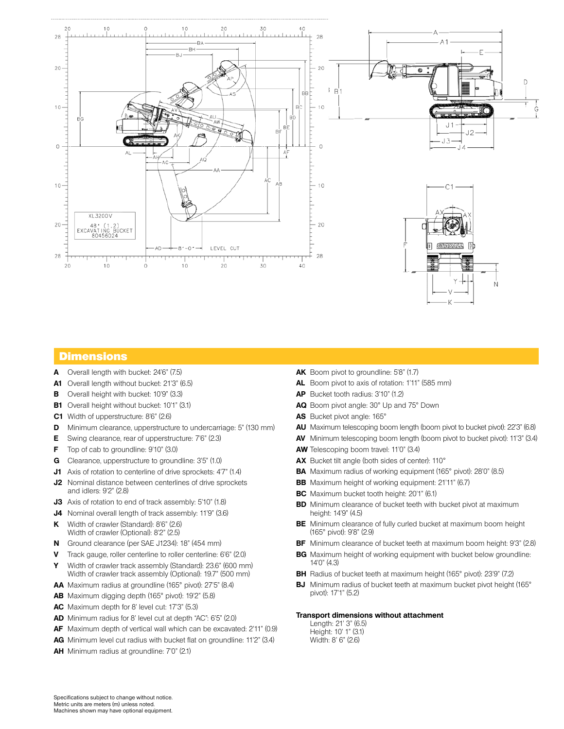

#### **Dimensions**

- **A** Overall length with bucket: 24'6" (7.5)
- **A1** Overall length without bucket: 21'3" (6.5)
- **B** Overall height with bucket: 10'9" (3.3)
- **B1** Overall height without bucket: 10'1" (3.1)
- **C1** Width of upperstructure: 8'6" (2.6)
- **D** Minimum clearance, upperstructure to undercarriage: 5" (130 mm)
- **E** Swing clearance, rear of upperstructure: 7'6" (2.3)
- **F** Top of cab to groundline: 9'10" (3.0)
- **G** Clearance, upperstructure to groundline: 3'5" (1.0)
- **J1** Axis of rotation to centerline of drive sprockets: 4'7" (1.4)
- **J2** Nominal distance between centerlines of drive sprockets and idlers: 9'2" (2.8)
- **J3** Axis of rotation to end of track assembly: 5'10" (1.8)
- **J4** Nominal overall length of track assembly: 11'9" (3.6)
- **K** Width of crawler (Standard): 8'6" (2.6) Width of crawler (Optional): 8'2" (2.5)
- **N** Ground clearance (per SAE J1234): 18" (454 mm)
- **V** Track gauge, roller centerline to roller centerline: 6'6" (2.0)
- **Y** Width of crawler track assembly (Standard): 23.6" (600 mm) Width of crawler track assembly (Optional): 19.7" (500 mm)
- **AA** Maximum radius at groundline (165° pivot): 27'5" (8.4)
- **AB** Maximum digging depth (165° pivot): 19'2" (5.8)
- **AC** Maximum depth for 8' level cut: 17'3" (5.3)
- **AD** Minimum radius for 8' level cut at depth "AC": 6'5" (2.0)
- **AF** Maximum depth of vertical wall which can be excavated: 2'11" (0.9)
- **AG** Minimum level cut radius with bucket flat on groundline: 11'2" (3.4)
- **AH** Minimum radius at groundline: 7'0" (2.1)
- AK Boom pivot to groundline: 5'8" (1.7)
- **AL** Boom pivot to axis of rotation: 1'11" (585 mm)
- **AP** Bucket tooth radius: 3'10" (1.2)
- **AQ** Boom pivot angle: 30° Up and 75° Down
- **AS** Bucket pivot angle: 165°
- **AU** Maximum telescoping boom length (boom pivot to bucket pivot): 22'3" (6.8)
- **AV** Minimum telescoping boom length (boom pivot to bucket pivot): 11'3" (3.4)
- **AW** Telescoping boom travel: 11'0" (3.4)
- **AX** Bucket tilt angle (both sides of center): 110°
- **BA** Maximum radius of working equipment (165° pivot): 28'0" (8.5)
- **BB** Maximum height of working equipment: 21'11" (6.7)
- **BC** Maximum bucket tooth height: 20'1" (6.1)
- **BD** Minimum clearance of bucket teeth with bucket pivot at maximum height: 14'9" (4.5)
- **BE** Minimum clearance of fully curled bucket at maximum boom height (165° pivot): 9'8" (2.9)
- **BF** Minimum clearance of bucket teeth at maximum boom height: 9'3" (2.8)
- **BG** Maximum height of working equipment with bucket below groundline: 14'0" (4.3)
- **BH** Radius of bucket teeth at maximum height (165° pivot): 23'9" (7.2)
- **BJ** Minimum radius of bucket teeth at maximum bucket pivot height (165° pivot): 17'1" (5.2)

#### **Transport dimensions without attachment**

Length: 21' 3" (6.5) Height: 10' 1" (3.1) Width: 8' 6" (2.6)